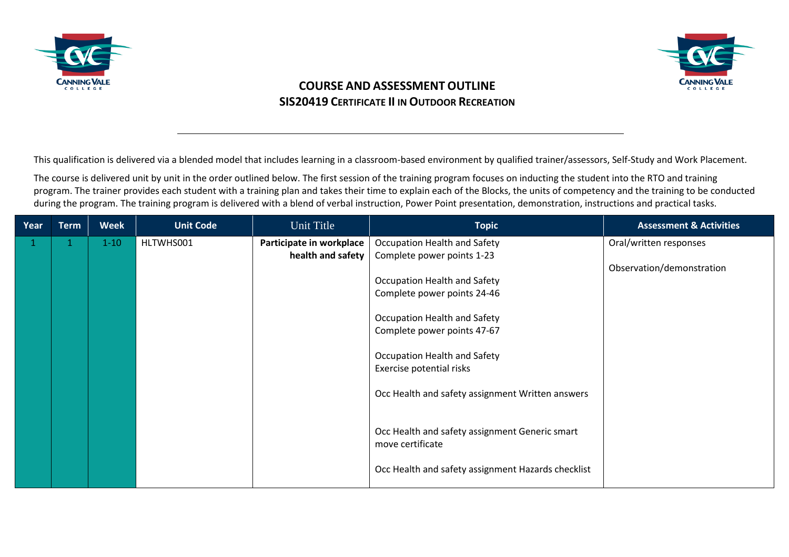



This qualification is delivered via a blended model that includes learning in a classroom-based environment by qualified trainer/assessors, Self-Study and Work Placement.

The course is delivered unit by unit in the order outlined below. The first session of the training program focuses on inducting the student into the RTO and training program. The trainer provides each student with a training plan and takes their time to explain each of the Blocks, the units of competency and the training to be conducted during the program. The training program is delivered with a blend of verbal instruction, Power Point presentation, demonstration, instructions and practical tasks.

| Year | <b>Term</b> | <b>Week</b> | <b>Unit Code</b> | Unit Title                                    | <b>Topic</b>                                                       | <b>Assessment &amp; Activities</b> |
|------|-------------|-------------|------------------|-----------------------------------------------|--------------------------------------------------------------------|------------------------------------|
| 1    |             | $1-10$      | HLTWHS001        | Participate in workplace<br>health and safety | Occupation Health and Safety<br>Complete power points 1-23         | Oral/written responses             |
|      |             |             |                  |                                               |                                                                    | Observation/demonstration          |
|      |             |             |                  |                                               | Occupation Health and Safety                                       |                                    |
|      |             |             |                  |                                               | Complete power points 24-46                                        |                                    |
|      |             |             |                  |                                               | Occupation Health and Safety                                       |                                    |
|      |             |             |                  |                                               | Complete power points 47-67                                        |                                    |
|      |             |             |                  |                                               |                                                                    |                                    |
|      |             |             |                  |                                               | Occupation Health and Safety                                       |                                    |
|      |             |             |                  |                                               | Exercise potential risks                                           |                                    |
|      |             |             |                  |                                               | Occ Health and safety assignment Written answers                   |                                    |
|      |             |             |                  |                                               |                                                                    |                                    |
|      |             |             |                  |                                               |                                                                    |                                    |
|      |             |             |                  |                                               | Occ Health and safety assignment Generic smart<br>move certificate |                                    |
|      |             |             |                  |                                               |                                                                    |                                    |
|      |             |             |                  |                                               | Occ Health and safety assignment Hazards checklist                 |                                    |
|      |             |             |                  |                                               |                                                                    |                                    |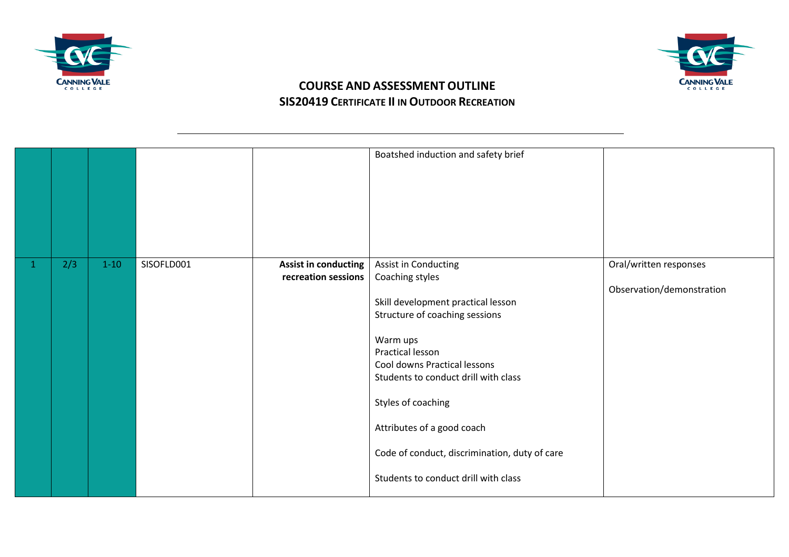



|   |     |        |            |                                             | Boatshed induction and safety brief                                                                                                                                                                                                                                                                                                                                  |                                                     |
|---|-----|--------|------------|---------------------------------------------|----------------------------------------------------------------------------------------------------------------------------------------------------------------------------------------------------------------------------------------------------------------------------------------------------------------------------------------------------------------------|-----------------------------------------------------|
| 1 | 2/3 | $1-10$ | SISOFLD001 | Assist in conducting<br>recreation sessions | Assist in Conducting<br>Coaching styles<br>Skill development practical lesson<br>Structure of coaching sessions<br>Warm ups<br>Practical lesson<br>Cool downs Practical lessons<br>Students to conduct drill with class<br>Styles of coaching<br>Attributes of a good coach<br>Code of conduct, discrimination, duty of care<br>Students to conduct drill with class | Oral/written responses<br>Observation/demonstration |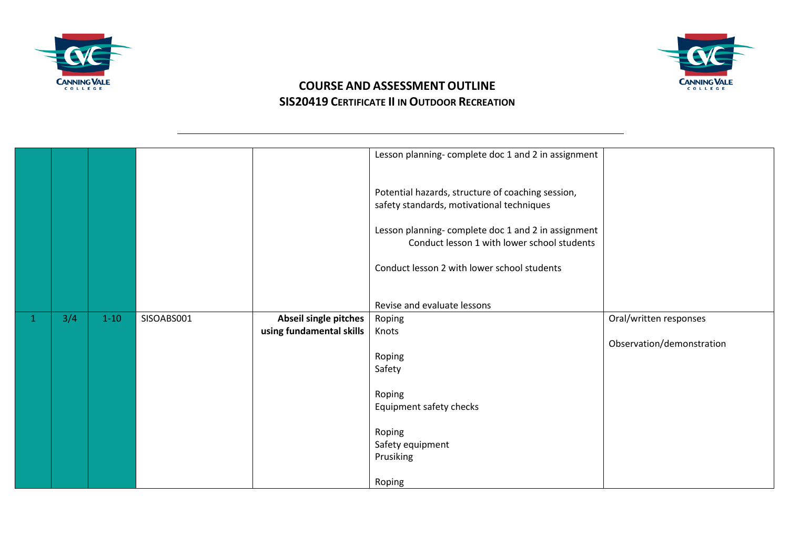



|              |     |        |            |                                                   | Lesson planning- complete doc 1 and 2 in assignment<br>Potential hazards, structure of coaching session,<br>safety standards, motivational techniques<br>Lesson planning- complete doc 1 and 2 in assignment<br>Conduct lesson 1 with lower school students<br>Conduct lesson 2 with lower school students<br>Revise and evaluate lessons |                                                     |
|--------------|-----|--------|------------|---------------------------------------------------|-------------------------------------------------------------------------------------------------------------------------------------------------------------------------------------------------------------------------------------------------------------------------------------------------------------------------------------------|-----------------------------------------------------|
| $\mathbf{1}$ | 3/4 | $1-10$ | SISOABS001 | Abseil single pitches<br>using fundamental skills | Roping<br>Knots<br>Roping<br>Safety<br>Roping<br>Equipment safety checks<br>Roping<br>Safety equipment<br>Prusiking<br>Roping                                                                                                                                                                                                             | Oral/written responses<br>Observation/demonstration |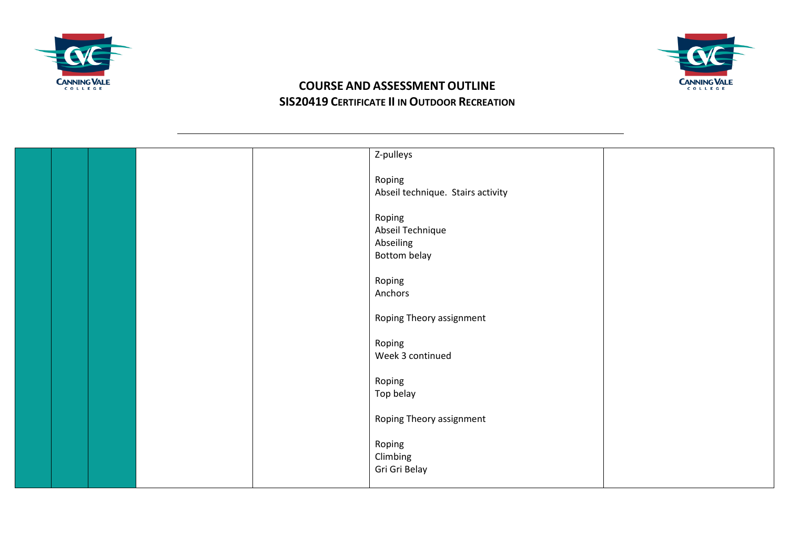



|  |  | Z-pulleys                                               |  |
|--|--|---------------------------------------------------------|--|
|  |  | Roping<br>Abseil technique. Stairs activity             |  |
|  |  | Roping<br>Abseil Technique<br>Abseiling<br>Bottom belay |  |
|  |  | Roping<br>Anchors                                       |  |
|  |  | Roping Theory assignment                                |  |
|  |  | Roping<br>Week 3 continued                              |  |
|  |  | Roping<br>Top belay                                     |  |
|  |  | Roping Theory assignment                                |  |
|  |  | Roping<br>Climbing<br>Gri Gri Belay                     |  |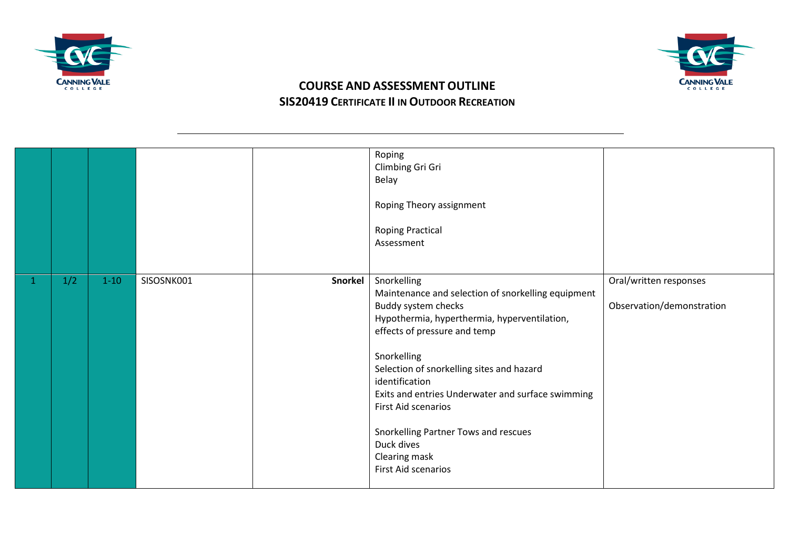



|     |          |            |         | Roping<br>Climbing Gri Gri<br>Belay<br>Roping Theory assignment<br><b>Roping Practical</b><br>Assessment                                                                                                                                                                                                                                                                                                                                |                                                     |
|-----|----------|------------|---------|-----------------------------------------------------------------------------------------------------------------------------------------------------------------------------------------------------------------------------------------------------------------------------------------------------------------------------------------------------------------------------------------------------------------------------------------|-----------------------------------------------------|
| 1/2 | $1 - 10$ | SISOSNK001 | Snorkel | Snorkelling<br>Maintenance and selection of snorkelling equipment<br>Buddy system checks<br>Hypothermia, hyperthermia, hyperventilation,<br>effects of pressure and temp<br>Snorkelling<br>Selection of snorkelling sites and hazard<br>identification<br>Exits and entries Underwater and surface swimming<br>First Aid scenarios<br>Snorkelling Partner Tows and rescues<br>Duck dives<br>Clearing mask<br><b>First Aid scenarios</b> | Oral/written responses<br>Observation/demonstration |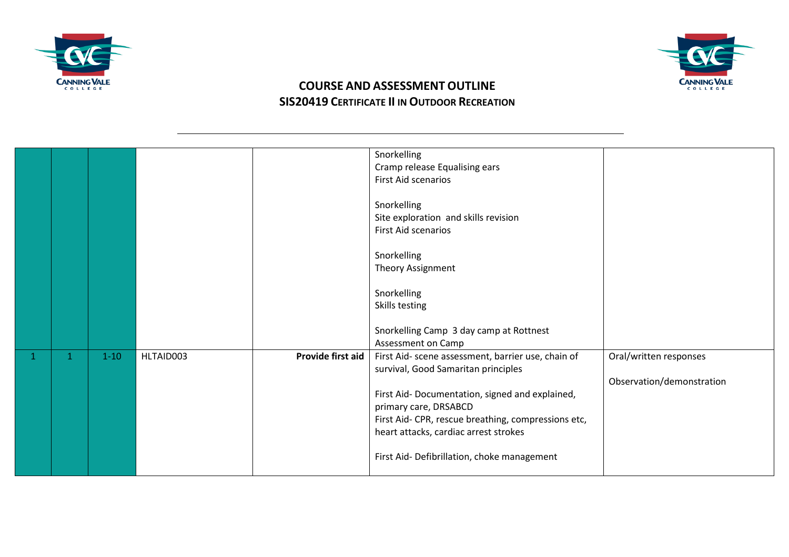



|              |        |           |                   | Snorkelling                                         |                           |
|--------------|--------|-----------|-------------------|-----------------------------------------------------|---------------------------|
|              |        |           |                   | Cramp release Equalising ears                       |                           |
|              |        |           |                   | <b>First Aid scenarios</b>                          |                           |
|              |        |           |                   |                                                     |                           |
|              |        |           |                   | Snorkelling                                         |                           |
|              |        |           |                   | Site exploration and skills revision                |                           |
|              |        |           |                   | First Aid scenarios                                 |                           |
|              |        |           |                   |                                                     |                           |
|              |        |           |                   | Snorkelling                                         |                           |
|              |        |           |                   | Theory Assignment                                   |                           |
|              |        |           |                   | Snorkelling                                         |                           |
|              |        |           |                   |                                                     |                           |
|              |        |           |                   | Skills testing                                      |                           |
|              |        |           |                   | Snorkelling Camp 3 day camp at Rottnest             |                           |
|              |        |           |                   | Assessment on Camp                                  |                           |
| $\mathbf{1}$ | $1-10$ | HLTAID003 | Provide first aid | First Aid- scene assessment, barrier use, chain of  | Oral/written responses    |
|              |        |           |                   | survival, Good Samaritan principles                 |                           |
|              |        |           |                   |                                                     | Observation/demonstration |
|              |        |           |                   | First Aid- Documentation, signed and explained,     |                           |
|              |        |           |                   | primary care, DRSABCD                               |                           |
|              |        |           |                   | First Aid- CPR, rescue breathing, compressions etc, |                           |
|              |        |           |                   | heart attacks, cardiac arrest strokes               |                           |
|              |        |           |                   |                                                     |                           |
|              |        |           |                   | First Aid- Defibrillation, choke management         |                           |
|              |        |           |                   |                                                     |                           |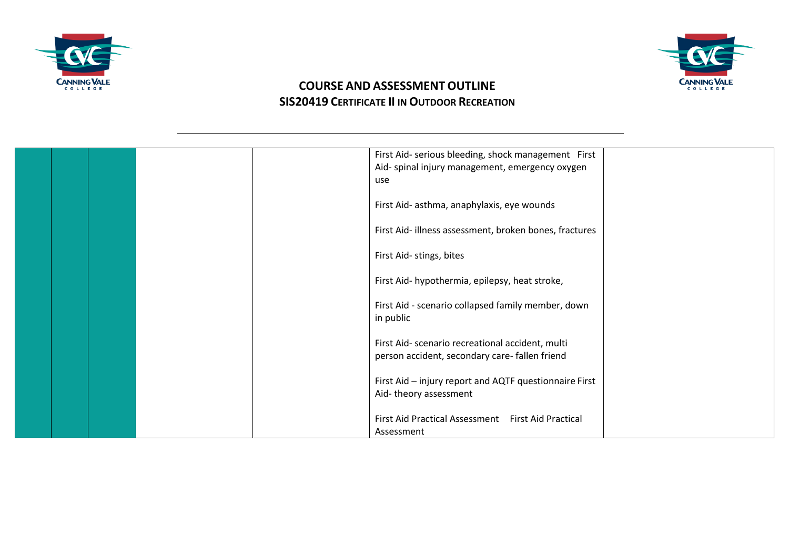



|  |                                                                                                   | First Aid- serious bleeding, shock management First    |  |
|--|---------------------------------------------------------------------------------------------------|--------------------------------------------------------|--|
|  |                                                                                                   | Aid- spinal injury management, emergency oxygen        |  |
|  | use                                                                                               |                                                        |  |
|  | First Aid- asthma, anaphylaxis, eye wounds                                                        |                                                        |  |
|  |                                                                                                   | First Aid- illness assessment, broken bones, fractures |  |
|  | First Aid- stings, bites                                                                          |                                                        |  |
|  | First Aid- hypothermia, epilepsy, heat stroke,                                                    |                                                        |  |
|  | in public                                                                                         | First Aid - scenario collapsed family member, down     |  |
|  | First Aid- scenario recreational accident, multi<br>person accident, secondary care-fallen friend |                                                        |  |
|  | Aid-theory assessment                                                                             | First Aid - injury report and AQTF questionnaire First |  |
|  |                                                                                                   | First Aid Practical Assessment First Aid Practical     |  |
|  | Assessment                                                                                        |                                                        |  |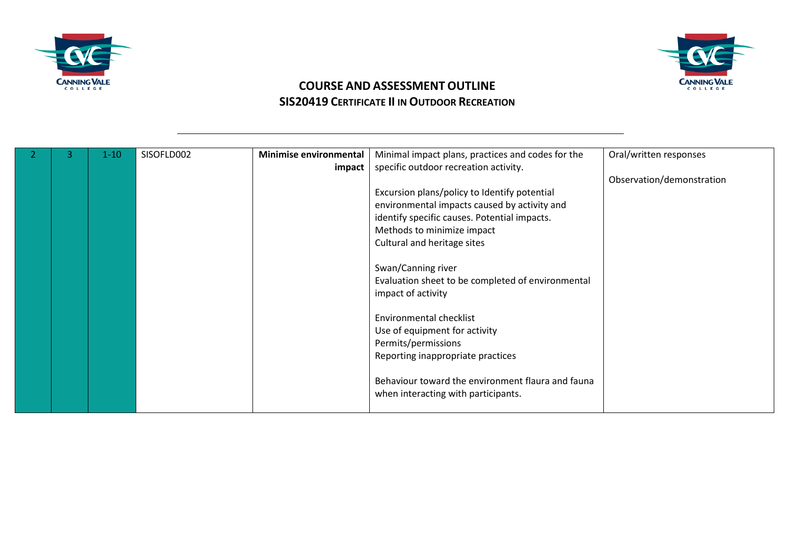



|  | $1-10$ | SISOFLD002 | <b>Minimise environmental</b> | Minimal impact plans, practices and codes for the | Oral/written responses    |
|--|--------|------------|-------------------------------|---------------------------------------------------|---------------------------|
|  |        |            | impact                        | specific outdoor recreation activity.             |                           |
|  |        |            |                               |                                                   | Observation/demonstration |
|  |        |            |                               | Excursion plans/policy to Identify potential      |                           |
|  |        |            |                               | environmental impacts caused by activity and      |                           |
|  |        |            |                               | identify specific causes. Potential impacts.      |                           |
|  |        |            |                               | Methods to minimize impact                        |                           |
|  |        |            |                               | Cultural and heritage sites                       |                           |
|  |        |            |                               |                                                   |                           |
|  |        |            |                               | Swan/Canning river                                |                           |
|  |        |            |                               | Evaluation sheet to be completed of environmental |                           |
|  |        |            |                               | impact of activity                                |                           |
|  |        |            |                               |                                                   |                           |
|  |        |            |                               | Environmental checklist                           |                           |
|  |        |            |                               | Use of equipment for activity                     |                           |
|  |        |            |                               | Permits/permissions                               |                           |
|  |        |            |                               | Reporting inappropriate practices                 |                           |
|  |        |            |                               |                                                   |                           |
|  |        |            |                               | Behaviour toward the environment flaura and fauna |                           |
|  |        |            |                               | when interacting with participants.               |                           |
|  |        |            |                               |                                                   |                           |
|  |        |            |                               |                                                   |                           |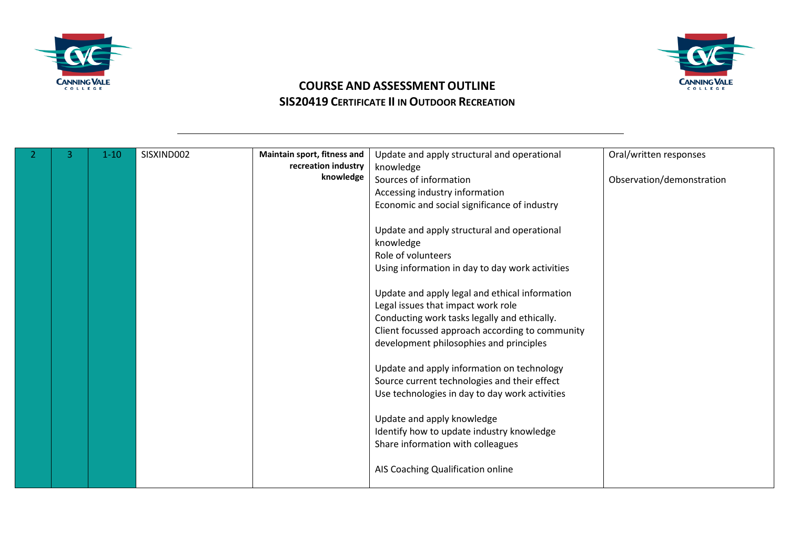



|  | $1 - 10$ | SISXIND002 | Maintain sport, fitness and | Update and apply structural and operational     | Oral/written responses    |
|--|----------|------------|-----------------------------|-------------------------------------------------|---------------------------|
|  |          |            | recreation industry         | knowledge                                       |                           |
|  |          |            | knowledge                   | Sources of information                          | Observation/demonstration |
|  |          |            |                             | Accessing industry information                  |                           |
|  |          |            |                             | Economic and social significance of industry    |                           |
|  |          |            |                             |                                                 |                           |
|  |          |            |                             | Update and apply structural and operational     |                           |
|  |          |            |                             | knowledge                                       |                           |
|  |          |            |                             | Role of volunteers                              |                           |
|  |          |            |                             | Using information in day to day work activities |                           |
|  |          |            |                             |                                                 |                           |
|  |          |            |                             | Update and apply legal and ethical information  |                           |
|  |          |            |                             | Legal issues that impact work role              |                           |
|  |          |            |                             | Conducting work tasks legally and ethically.    |                           |
|  |          |            |                             | Client focussed approach according to community |                           |
|  |          |            |                             | development philosophies and principles         |                           |
|  |          |            |                             |                                                 |                           |
|  |          |            |                             | Update and apply information on technology      |                           |
|  |          |            |                             | Source current technologies and their effect    |                           |
|  |          |            |                             | Use technologies in day to day work activities  |                           |
|  |          |            |                             |                                                 |                           |
|  |          |            |                             | Update and apply knowledge                      |                           |
|  |          |            |                             | Identify how to update industry knowledge       |                           |
|  |          |            |                             | Share information with colleagues               |                           |
|  |          |            |                             |                                                 |                           |
|  |          |            |                             | AIS Coaching Qualification online               |                           |
|  |          |            |                             |                                                 |                           |
|  |          |            |                             |                                                 |                           |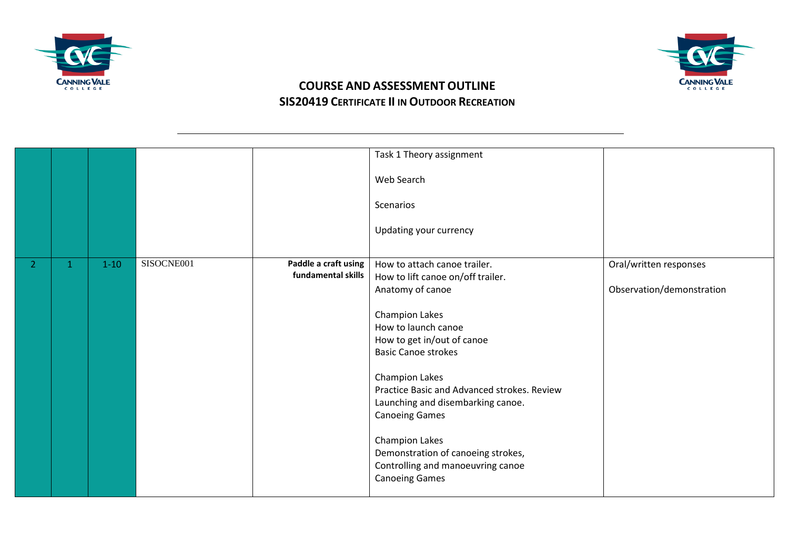



|   |    |          |            |                                            | Task 1 Theory assignment<br>Web Search<br>Scenarios<br>Updating your currency                                                                                                                                                                                                                                                                                                                                                                                 |                                                     |
|---|----|----------|------------|--------------------------------------------|---------------------------------------------------------------------------------------------------------------------------------------------------------------------------------------------------------------------------------------------------------------------------------------------------------------------------------------------------------------------------------------------------------------------------------------------------------------|-----------------------------------------------------|
| 2 | -1 | $1 - 10$ | SISOCNE001 | Paddle a craft using<br>fundamental skills | How to attach canoe trailer.<br>How to lift canoe on/off trailer.<br>Anatomy of canoe<br>Champion Lakes<br>How to launch canoe<br>How to get in/out of canoe<br><b>Basic Canoe strokes</b><br><b>Champion Lakes</b><br>Practice Basic and Advanced strokes. Review<br>Launching and disembarking canoe.<br><b>Canoeing Games</b><br><b>Champion Lakes</b><br>Demonstration of canoeing strokes,<br>Controlling and manoeuvring canoe<br><b>Canoeing Games</b> | Oral/written responses<br>Observation/demonstration |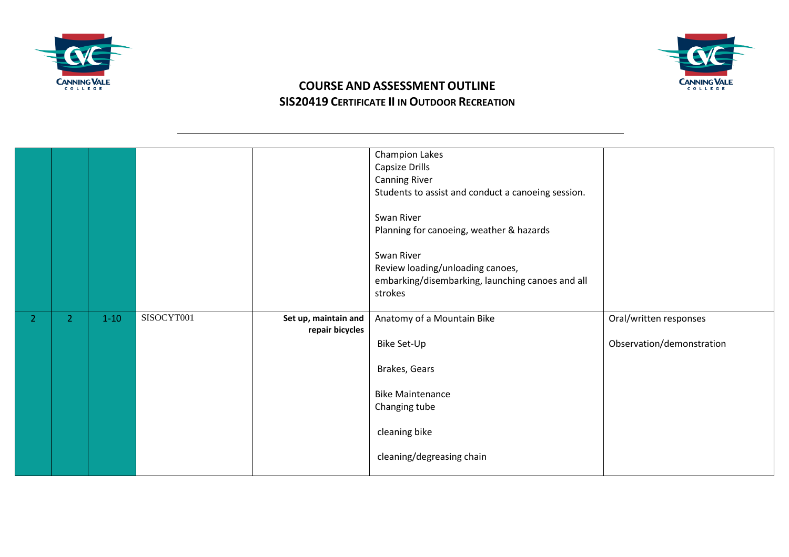



|                |                |          |            |                                         | <b>Champion Lakes</b><br>Capsize Drills<br><b>Canning River</b><br>Students to assist and conduct a canoeing session.<br>Swan River<br>Planning for canoeing, weather & hazards<br>Swan River<br>Review loading/unloading canoes,<br>embarking/disembarking, launching canoes and all<br>strokes |                                                     |
|----------------|----------------|----------|------------|-----------------------------------------|--------------------------------------------------------------------------------------------------------------------------------------------------------------------------------------------------------------------------------------------------------------------------------------------------|-----------------------------------------------------|
| $\overline{2}$ | $\overline{2}$ | $1 - 10$ | SISOCYT001 | Set up, maintain and<br>repair bicycles | Anatomy of a Mountain Bike<br>Bike Set-Up<br>Brakes, Gears<br><b>Bike Maintenance</b><br>Changing tube<br>cleaning bike<br>cleaning/degreasing chain                                                                                                                                             | Oral/written responses<br>Observation/demonstration |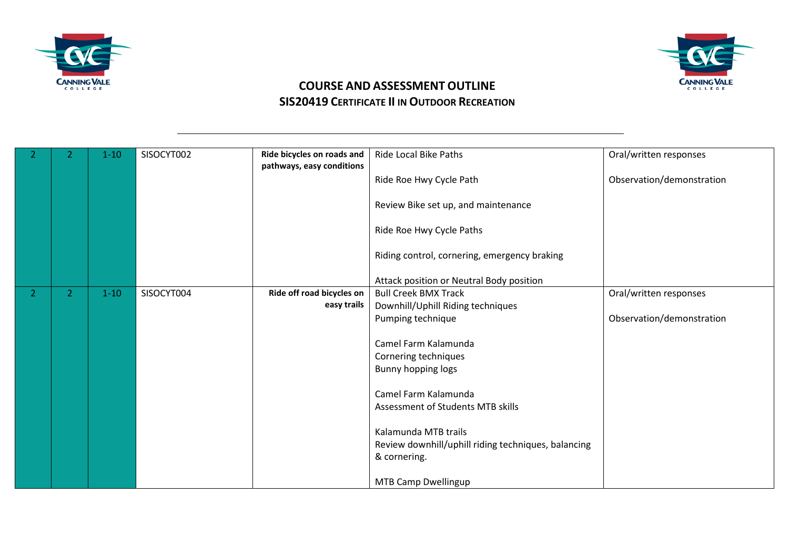



|                |   | $1 - 10$ | SISOCYT002 | Ride bicycles on roads and<br>pathways, easy conditions | Ride Local Bike Paths                               | Oral/written responses    |
|----------------|---|----------|------------|---------------------------------------------------------|-----------------------------------------------------|---------------------------|
|                |   |          |            |                                                         | Ride Roe Hwy Cycle Path                             | Observation/demonstration |
|                |   |          |            |                                                         | Review Bike set up, and maintenance                 |                           |
|                |   |          |            |                                                         | Ride Roe Hwy Cycle Paths                            |                           |
|                |   |          |            |                                                         | Riding control, cornering, emergency braking        |                           |
|                |   |          |            |                                                         | Attack position or Neutral Body position            |                           |
| $\overline{2}$ | 2 | $1 - 10$ | SISOCYT004 | Ride off road bicycles on                               | <b>Bull Creek BMX Track</b>                         | Oral/written responses    |
|                |   |          |            | easy trails                                             | Downhill/Uphill Riding techniques                   |                           |
|                |   |          |            |                                                         | Pumping technique                                   | Observation/demonstration |
|                |   |          |            |                                                         | Camel Farm Kalamunda                                |                           |
|                |   |          |            |                                                         | Cornering techniques                                |                           |
|                |   |          |            |                                                         | Bunny hopping logs                                  |                           |
|                |   |          |            |                                                         | Camel Farm Kalamunda                                |                           |
|                |   |          |            |                                                         | Assessment of Students MTB skills                   |                           |
|                |   |          |            |                                                         | Kalamunda MTB trails                                |                           |
|                |   |          |            |                                                         | Review downhill/uphill riding techniques, balancing |                           |
|                |   |          |            |                                                         | & cornering.                                        |                           |
|                |   |          |            |                                                         | MTB Camp Dwellingup                                 |                           |